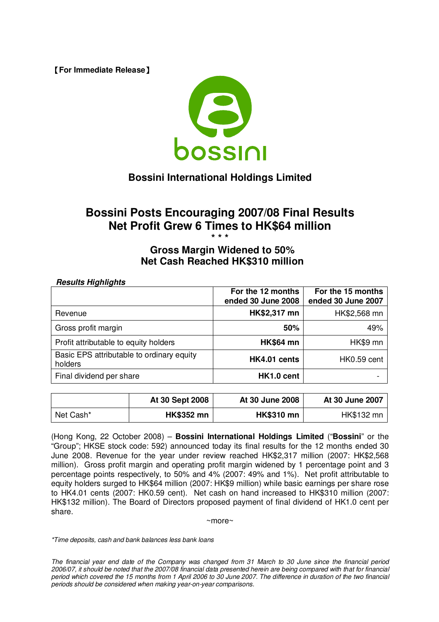**[For Immediate Release]** 



# **Bossini International Holdings Limited**

## **Bossini Posts Encouraging 2007/08 Final Results Net Profit Grew 6 Times to HK\$64 million \* \* \***

## **Gross Margin Widened to 50% Net Cash Reached HK\$310 million**

#### *Results Highlights*

|                                                      | For the 12 months<br>ended 30 June 2008 | For the 15 months<br>ended 30 June 2007 |
|------------------------------------------------------|-----------------------------------------|-----------------------------------------|
| Revenue                                              | HK\$2,317 mn                            | HK\$2,568 mn                            |
| Gross profit margin                                  | 50%                                     | 49%                                     |
| Profit attributable to equity holders                | <b>HK\$64 mn</b>                        | HK\$9 mn                                |
| Basic EPS attributable to ordinary equity<br>holders | HK4.01 cents                            | HK0.59 cent                             |
| Final dividend per share                             | HK1.0 cent                              |                                         |

|           | At 30 Sept 2008   | At 30 June 2008   | At 30 June 2007 |
|-----------|-------------------|-------------------|-----------------|
| Net Cash* | <b>HK\$352 mn</b> | <b>HK\$310 mn</b> | HK\$132 mn      |

(Hong Kong, 22 October 2008) – **Bossini International Holdings Limited** ("**Bossini**" or the "Group"; HKSE stock code: 592) announced today its final results for the 12 months ended 30 June 2008. Revenue for the year under review reached HK\$2,317 million (2007: HK\$2,568 million). Gross profit margin and operating profit margin widened by 1 percentage point and 3 percentage points respectively, to 50% and 4% (2007: 49% and 1%). Net profit attributable to equity holders surged to HK\$64 million (2007: HK\$9 million) while basic earnings per share rose to HK4.01 cents (2007: HK0.59 cent). Net cash on hand increased to HK\$310 million (2007: HK\$132 million). The Board of Directors proposed payment of final dividend of HK1.0 cent per share.

~more~

*\*Time deposits, cash and bank balances less bank loans*

The financial year end date of the Company was changed from 31 March to 30 June since the financial period 2006/07, it should be noted that the 2007/08 financial data presented herein are being compared with that for financial period which covered the 15 months from 1 April 2006 to 30 June 2007. The difference in duration of the two financial *periods should be considered when making year-on-year comparisons.*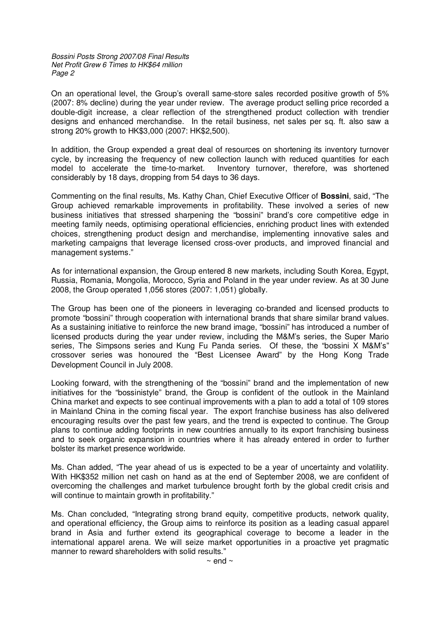*Bossini Posts Strong 2007/08 Final Results Net Profit Grew 6 Times to HK\$64 million Page 2*

On an operational level, the Group's overall same-store sales recorded positive growth of 5% (2007: 8% decline) during the year under review. The average product selling price recorded a double-digit increase, a clear reflection of the strengthened product collection with trendier designs and enhanced merchandise. In the retail business, net sales per sq. ft. also saw a strong 20% growth to HK\$3,000 (2007: HK\$2,500).

In addition, the Group expended a great deal of resources on shortening its inventory turnover cycle, by increasing the frequency of new collection launch with reduced quantities for each model to accelerate the time-to-market. Inventory turnover, therefore, was shortened considerably by 18 days, dropping from 54 days to 36 days.

Commenting on the final results, Ms. Kathy Chan, Chief Executive Officer of **Bossini**, said, "The Group achieved remarkable improvements in profitability. These involved a series of new business initiatives that stressed sharpening the "bossini" brand's core competitive edge in meeting family needs, optimising operational efficiencies, enriching product lines with extended choices, strengthening product design and merchandise, implementing innovative sales and marketing campaigns that leverage licensed cross-over products, and improved financial and management systems."

As for international expansion, the Group entered 8 new markets, including South Korea, Egypt, Russia, Romania, Mongolia, Morocco, Syria and Poland in the year under review. As at 30 June 2008, the Group operated 1,056 stores (2007: 1,051) globally.

The Group has been one of the pioneers in leveraging co-branded and licensed products to promote "bossini" through cooperation with international brands that share similar brand values. As a sustaining initiative to reinforce the new brand image, "bossini" has introduced a number of licensed products during the year under review, including the M&M's series, the Super Mario series, The Simpsons series and Kung Fu Panda series. Of these, the "bossini X M&M's" crossover series was honoured the "Best Licensee Award" by the Hong Kong Trade Development Council in July 2008.

Looking forward, with the strengthening of the "bossini" brand and the implementation of new initiatives for the "bossinistyle" brand, the Group is confident of the outlook in the Mainland China market and expects to see continual improvements with a plan to add a total of 109 stores in Mainland China in the coming fiscal year. The export franchise business has also delivered encouraging results over the past few years, and the trend is expected to continue. The Group plans to continue adding footprints in new countries annually to its export franchising business and to seek organic expansion in countries where it has already entered in order to further bolster its market presence worldwide.

Ms. Chan added, "The year ahead of us is expected to be a year of uncertainty and volatility. With HK\$352 million net cash on hand as at the end of September 2008, we are confident of overcoming the challenges and market turbulence brought forth by the global credit crisis and will continue to maintain growth in profitability."

Ms. Chan concluded, "Integrating strong brand equity, competitive products, network quality, and operational efficiency, the Group aims to reinforce its position as a leading casual apparel brand in Asia and further extend its geographical coverage to become a leader in the international apparel arena. We will seize market opportunities in a proactive yet pragmatic manner to reward shareholders with solid results."